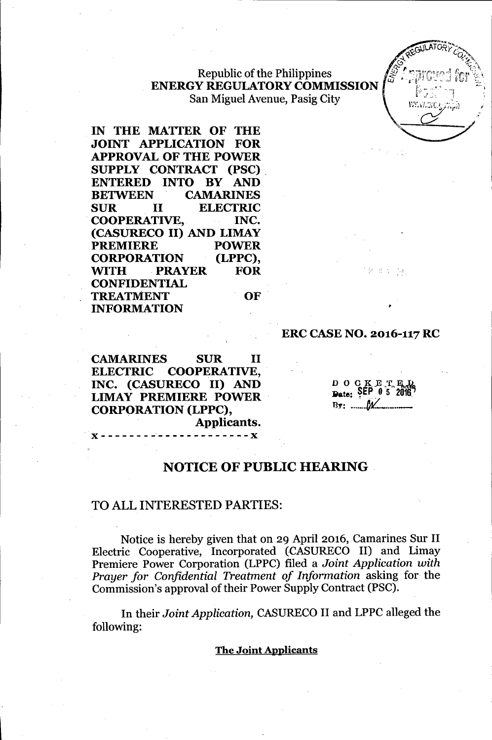### Republic of the Philippines ENERGY REGULATORYCOMMISSION San Miguel Avenue, Pasig City

IN THE MATTER OF THE JOINT APPLICATION FOR APPROVAL OF THE POWER SUPPLY CONTRACT (PSC). ENTERED INTO BY AND BETWEEN CAMARINES SUR II ELECTRIC COOPERATIVE, INC. (CASURECO II) AND LIMAY PREMIERE POWER CORPORATION (LPPC), ~TH PRAYER FOR CONFIDENTIAL TREATMENT OF INFORMATION

### ERC CASE NO. 2016-117 RC

CAMARINES SUR II ELECTRIC COOPERATIVE, INC. (CASURECO II) AND LIMAY PREMIERE POWER . CORPORATION (LPPC), Applicants.

,x------------------~--x

 $D$  O  $C$   $K$   $E$   $T$ ,  $E$ <sub> $G$ </sub>  $_{\text{Date:}}$   $\text{SEP}$   $\text{0}$  5  $\text{2016}$ <sup>7</sup>  $By:$   $\mathcal{M}$ 

'.'

•

进行

# NOTICE OF PUBLIC HEARING

### TO ALL INTERESTED PARTIES:

Notice is hereby given that on 29 April 2016, Camarines Sur II Electric Cooperative, Incorporated (CASURECO II) and Limay Premiere Power Corporation (LPPC) filed a *Joint Application with Prayer for Confidential Treatment of Information* asking for the Commission's approval of their Power Supply Contract (PSC).

In their *Joint Application,* CASURECO II and LPPC alleged the following:

### The Joint Applicants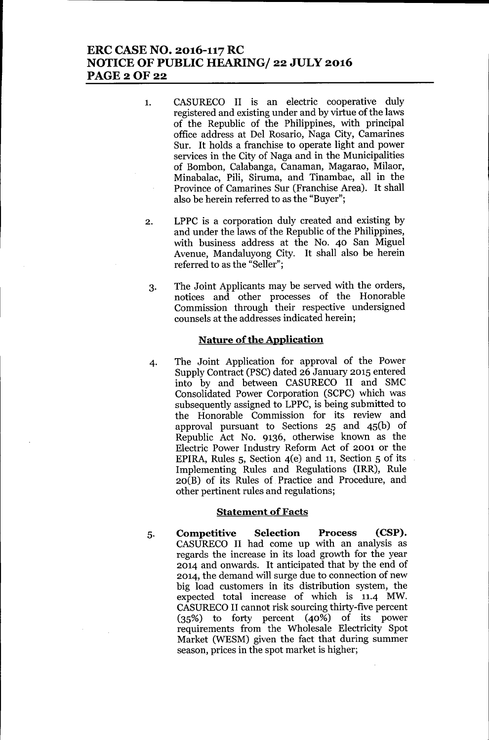# **ERC CASE NO. 2016-117 RC NOTICE OF PUBLIC HEARING/ 22 JULY 2016 PAGE20F22**

- 1. CASURECO II is an electric cooperative duly registered and existing under and by virtue of the laws of the Republic of the Philippines, with principal office address at Del Rosario, Naga City, Camarines Sur. It holds a franchise to operate light and power services in the City of Naga and in the Municipalities of Bombon, Calabanga, Canaman, Magarao, Milaor, Minabalac, Pili, Siruma, and Tinambac, all in the Province of Camarines Sur (Franchise Area). It shall also be herein referred to as the "Buyer";
- 2. LPPC is a corporation duly created and existing by and under the laws of the Republic of the Philippines, with business address at the No. 40 San Miguel Avenue, Mandaluyong City. It shall also be herein referred to as the "Seller";
- 3. The Joint Applicants may be served with the orders, notices and other processes of the Honorable Commission through their respective undersigned counsels at the addresses indicated herein;

### **Nature of the Application**

4. The Joint Application for approval of the Power Supply Contract (PSC) dated 26 January 2015 entered into by and between CASURECO II and SMC Consolidated Power Corporation (SCPC) which was subsequently assigned to LPPC, is being submitted to the Honorable Commission for its review and approval pursuant to Sections 25 and 45(b) of Republic Act No. 9136, otherwise known as the Electric Power Industry Reform Act of 2001 or the EPIRA, Rules  $5$ , Section  $4(e)$  and 11, Section  $5$  of its Implementing Rules and Regulations (IRR), Rule 20(B) of its Rules of Practice and Procedure, and other pertinent rules and regulations;

#### **Statement of Facts**

5. **Competitive Selection Process (CSP).** CASURECO II had come up with an analysis as regards the increase in its load growth for the year 2014 and onwards. It anticipated that by the end of 2014, the demand will surge due to connection of new big load customers in its distribution system, the expected total increase of which is 11.4 MW. CASURECOII cannot risk sourcing thirty-five percent (35%) to forty percent (40%) of its power requirements from the Wholesale Electricity Spot Market (WESM) given the fact that during summer season, prices in the spot market is higher;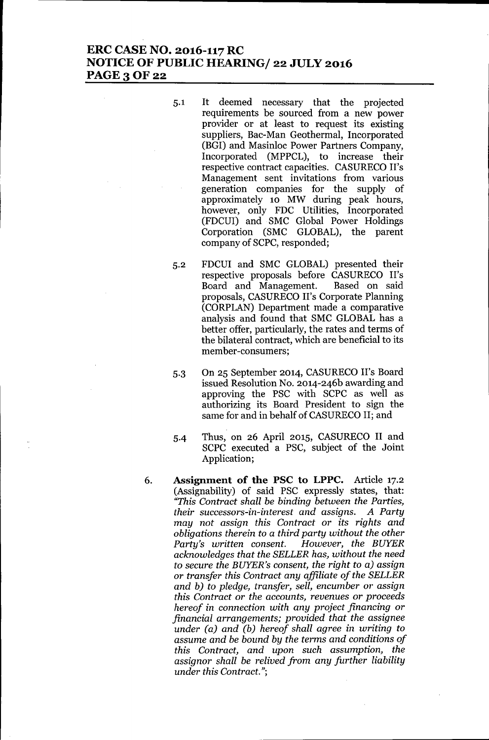# **ERC CASE NO. 2016-117 RC NOTICE OF PUBLIC HEARING/ 22 JULY 2016 PAGE30F22**

- 5.1 It deemed necessary that the projected requirements be sourced from a new power provider or at least to request its existing suppliers, Bac-Man Geothermal, Incorporated (BGI) and Masinloc Power Partners Company, Incorporated (MPPCL), to increase their respective contract capacities. CASURECO II's Management sent invitations from various generation companies for the supply of approximately 10 MW during peak hours, however, only FDC Utilities, Incorporated (FDCUI) and SMC Global Power Holdings Corporation (SMC GLOBAL), the parent company of SCPC, responded;
- 5.2 FDCUI and SMC GLOBAL) presented their respective proposals before CASURECO II's<br>Board and Management. Based on said Board and Management. proposals, CASURECO II's Corporate Planning (CORPLAN) Department made a comparative analysis and found that SMC GLOBAL has a better offer, particularly, the rates and terms of the bilateral contract, which are beneficial to its member-consumers;
- 5.3 On 25 September 2014, CASURECO II's Board issued Resolution No. 2014-246b awarding and approving the PSC with SCPC as well as authorizing its Board President to sign the same for and in behalf of CASURECO II; and
- 5-4 Thus, on 26 April 2015, CASURECO II and SCPC executed a PSC, subject of the Joint Application;
- 6. **Assignment of the PSC to LPPC.** Article 17.2 (Assignability) of said PSC expressly states, that: *"This Contract shall be binding between the Parties, their successors-in-interest and assigns. A Party may not assign this Contract* or *its rights and obligations therein to* a *third party without the other Party's written consent. acknowledges that the SELLER has, without the need to secure the BUYER's consent, the right to* a) *assign* or *transfer this Contract any affiliate of the SELLER and b) to pledge, transfer, sell, encumber* or *assign this Contract* or *the accounts, revenues* or *proceeds hereof in connection with any project financing* or *financial arrangements; provided that the assignee under (a) and (b) hereof shall agree in writing to assume and be bound by the terms and conditions of this Contract, and upon such assumption, the assignor shall be relived from any further liability under this Contract.";*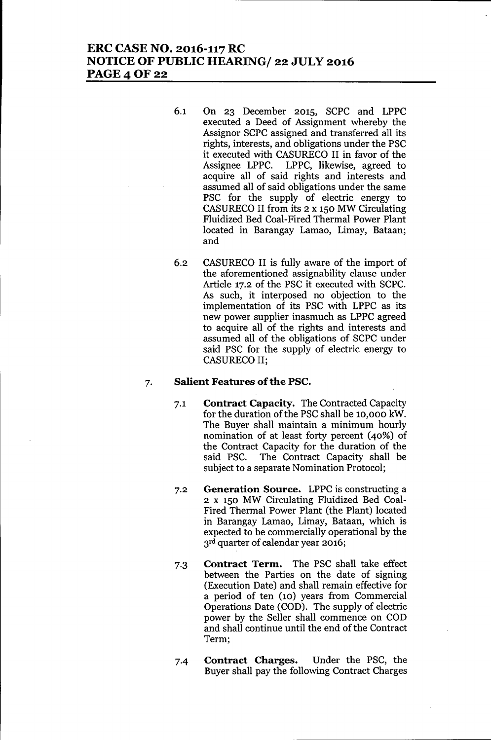# **ERC CASE NO. 2016-117 RC NOTICE OF PUBLIC HEARING/ 22 JULY 2016** PAGE 4 OF 22

- 6.1 On 23 December 2015, SCPC and LPPC executed a Deed of Assignment whereby the Assignor SCPC assigned and transferred all its rights, interests, and obligations under the PSC it executed with CASURECO II in favor of the Assignee LPPC. LPPC, likewise, agreed to acquire all of said rights and interests and assumed all of said obligations under the same PSC for the supply of electric energy to CASURECO II from its 2 x 150 MW Circulating Fluidized Bed Coal-Fired Thermal Power Plant located in Barangay Lamao, Limay, Bataan; and
- 6.2 CASURECO II is fully aware of the import of the aforementioned assignability clause under Article 17.2 of the PSC it executed with SCPC. As such, it interposed no objection to the implementation of its PSC with LPPC as its new power supplier inasmuch as LPPC agreed to acquire all of the rights and interests and assumed all of the obligations of SCPC under said PSC for the supply of electric energy to CASURECO II;

### 7. **Salient Features** of the **PSC.**

- 7.1 **Contract Capacity.** The Contracted Capacity for the duration of the PSC shall be 10,000 kW. The Buyer shall maintain a minimum hourly nomination of at least forty percent (40%) of the Contract Capacity for the duration of the said PSC. The Contract Capacity shall be subject to a separate Nomination Protocol;
- 7.2 **Generation Source.** LPPC is constructing a 2 x 150 MW Circulating Fluidized Bed Coal-Fired Thermal Power Plant (the Plant) located in Barangay Lamao, Limay, Bataan, which is expected to be commercially operational by the 3rd quarter of calendar year 2016;
- 7.3 **Contract Term.** The PSC shall take effect between the Parties on the date of signing (Execution Date) and shall remain effective for a period of ten (10) years from Commercial Operations Date (COD). The supply of electric power by the Seller shall commence on COD and shall continue until the end of the Contract Term;
- 7-4 **Contract Charges.** Under the PSC, the Buyer shall pay the following Contract Charges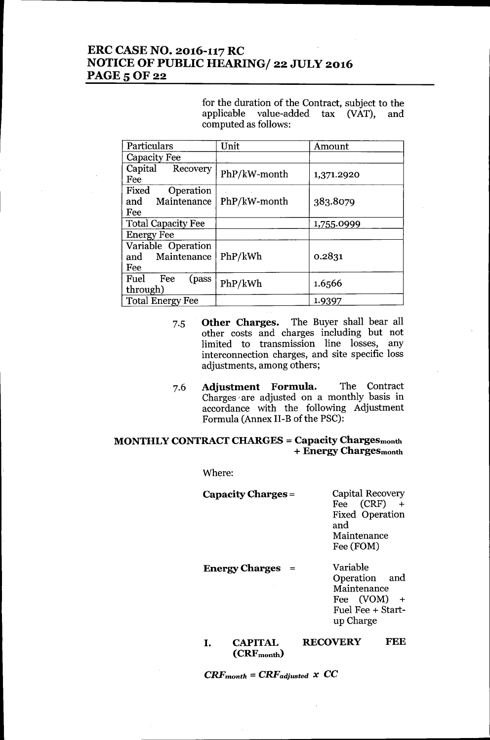# ERC CASE NO. 2016-117 RC NOTICE OF PUBLIC HEARING/ 22 JULY 2016 **PAGE 5 OF 22**

for the duration of the Contract, subject to the applicable value-added tax (VAT), and computed as follows:

| Particulars                                  | Unit         | Amount     |
|----------------------------------------------|--------------|------------|
| Capacity Fee                                 |              |            |
| Capital Recovery<br>Fee                      | PhP/kW-month | 1,371.2920 |
| Fixed<br>Operation<br>and Maintenance<br>Fee | PhP/kW-month | 383.8079   |
| <b>Total Capacity Fee</b>                    |              | 1,755.0999 |
| <b>Energy Fee</b>                            |              |            |
| Variable Operation<br>and Maintenance<br>Fee | PhP/kWh      | 0.2831     |
| Fuel<br>Fee<br>(pass<br>through)             | PhP/kWh      | 1.6566     |
| <b>Total Energy Fee</b>                      |              | 1.9397     |

- 7.5 Other Charges. The Buyer shall bear all other costs and charges including but not limited to transmission line losses, any interconnection charges, and site specific loss adjustments, among others;
- 7.6 Adjustment Formula. The Contract Charges' are adjusted on a monthly basis in accordance with the following Adjustment Formula (Annex II-B of the PSC):

### MONTHLY CONTRACT CHARGES = Capacity Chargesmonth + Energy Chargesmonth

Where:

| <b>Capacity Charges =</b> | Capital Recovery       |
|---------------------------|------------------------|
|                           | Fee (CRF)              |
|                           | <b>Fixed Operation</b> |
|                           | and                    |
|                           | Maintenance            |
|                           | Fee (FOM)              |
|                           |                        |

Energy Charges =

Variable Operation and Maintenance Fee (VOM) + Fuel Fee + Startup Charge

#### I. CAPITAL (CRFmonth) RECOVERY FEE

 $CRF_{month} = CRF_{adjusted} \times CC$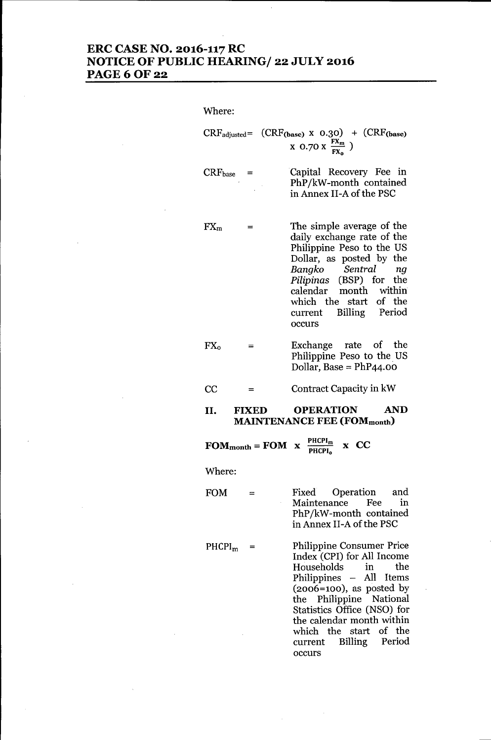# **ERC CASE NO. 2016-117 RC NOTICE OF PUBLIC HEARING/ 22 JULY 2016 PAGE60F22**

Where:

 $CRF_{adjusted} = (CRF_{(\text{base})} \times 0.30) + (CRF_{(\text{base})}$  $x \overline{0.70 \times \frac{FX_m}{FX}}$ )

**CRFbase =** Capital Recovery *Fee* in PhP/kW-month contained in Annex II-A of the PSC

- **FXm =** The simple average of the daily exchange rate of the Philippine Peso to the US Dollar, as posted by the *Bangko Sentral ng Pilipinas* (BSP) for the calendar month within which the start of the current Billing Period occurs
- $FX_0 =$ Exchange rate of the Philippine Peso to the US Dollar, Base =  $PhP44.00$
- $CC =$ Contract Capacity in kW
- **II. FIXED OPERATION AND MAINTENANCE FEE (FOMmonth)**

 $\text{FOM}_{\text{month}} = \text{FOM} \times \frac{\text{PHCPI}_{\text{m}}}{\text{PHCPI}_{\text{o}}} \times \text{CC}$ 

Where:

 $FOM =$ Fixed Operation and Maintenance *Fee* in PhP/kW-month contained in Annex II-A of the PSC

 $PHCPI<sub>m</sub>$  = Philippine Consumer Price Index (CPI) for All Income Households in the Philippines - All Items  $(2006=100)$ , as posted by the Philippine National Statistics Office (NSO) for the calendar month within which the start of the current Billing Period occurs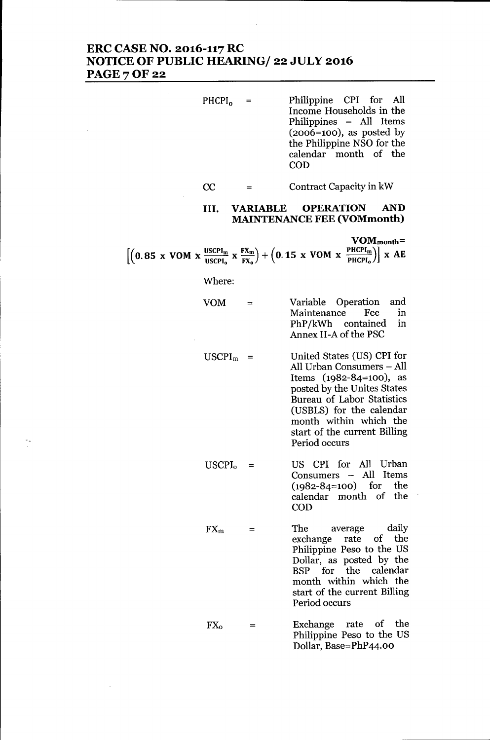### ERC CASE NO. 2016-117 RC NOTICE OF PUBLIC HEARING/ 22 JULY 2016 **PAGE 7 OF 22**

- $PHCPI<sub>o</sub> =$ Philippine CPI for All Income Households in the Philippines - All Items  $(2006=100)$ , as posted by the Philippine NSO for the calendar month of the COD
	- $CC =$ Contract Capacity in kW

### III. VARIABLE OPERATION AND MAINTENANCE FEE (VOMmonth)

|                                                                                                                                                                        |  |  | $VOM_{month} =$ |
|------------------------------------------------------------------------------------------------------------------------------------------------------------------------|--|--|-----------------|
| $\left[\left(0.85 \times VOM \times \frac{USCPI_m}{USCPI_o} \times \frac{FX_m}{FX_o}\right) + \left(0.15 \times VOM \times \frac{PHCPI_m}{PHCPI_o}\right)\right]$ x AE |  |  |                 |

Where:

- VOM = Variable Operation and Maintenance PhP/kWh contained in Annex II-A of the PSC
- $USCPI<sub>m</sub>$  = United States (US) CPI for All Urban Consumers - All Items (1982-84=100), as posted by the Unites States Bureau of Labor Statistics (USBLS) for the calendar month within which the start of the current Billing Period occurs
- $USCPI<sub>o</sub> =$ US CPI for All Urban Consumers - All Items (1982-84=100) for the calendar month of the COD
- $FX_m$  = The average daily exchange rate of the Philippine Peso to the US Dollar, as posted by the BSP for the calendar month within which the start of the current Billing Period occurs
- $FX_{o}$  = Exchange rate of the Philippine Peso to the US Dollar, Base=PhP44.00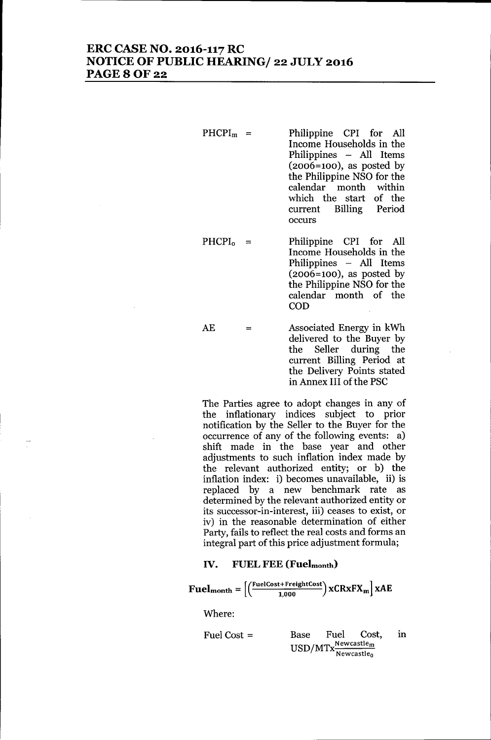### ERC CASE NO. 2016-117 RC NOTICE OF PUBLIC HEARING/ 22 JULY 2016 **PAGE 8 OF 22**

 $PHCPI<sub>m</sub>$  = Philippine CPI for All Income Households in the Philippines - All Items  $(2006=100)$ , as posted by the Philippine NSO for the calendar month within which the start of the current Billing Period occurs

 $PHCPI_0 =$ Philippine CPI for All Income Households in the Philippines - All Items  $(2006=100)$ , as posted by the Philippine NSO for the calendar month of the COD

AE = Associated Energy in kWh delivered to the Buyer by the Seller during the current Billing Period at the Delivery Points stated in Annex III of the PSC

The Parties agree to adopt changes in any of the inflationary indices subject to prior notification by the Seller to the Buyer for the occurrence of any of the following events: a) shift made in the base year and other adjustments to such inflation index made by the relevant authorized entity; or b) the inflation index: i) becomes unavailable, ii) is replaced by a new benchmark rate as determined by the relevant authorized entity or its successor-in-interest, iii) ceases to exist, or iv) in the reasonable determination of either Party, fails to reflect the real costs and forms an integral part of this price adjustment formula;

#### IV. FUEL FEE (Fuelmonth)

$$
\mathbf{Fuelmonth} = \left[ \left( \frac{\text{FuelCost} + \text{FreightCost}}{1,000} \right) \mathbf{xCRxFX_m} \right] \mathbf{xAE}
$$
  
Where:

Fuel Cost = Base Fuel Cost, in  $\rm HSD/MTx^{\rm Newcastle}_{\rm m}$ Newcastle<sub>o</sub>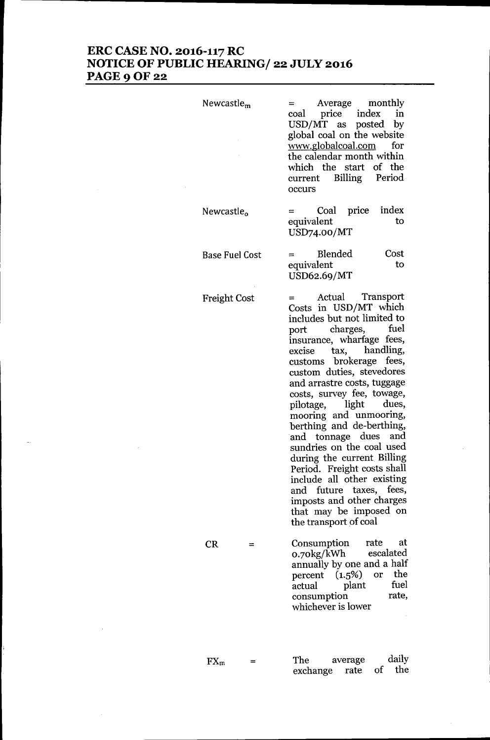### **ERC CASE NO. 2016-117 RC NOTICE OF PUBLIC HEARING/ 22 JULY 2016 PAGE90F22**

| Newcastle <sub>m</sub> | Average monthly<br>price index<br>in<br>coal<br>USD/MT as posted<br>by<br>global coal on the website<br>www.globalcoal.com<br>for<br>the calendar month within<br>which the start of the<br>current Billing Period<br>occurs                                                                                                                                                                                                                                                                                                                                                                                                        |
|------------------------|-------------------------------------------------------------------------------------------------------------------------------------------------------------------------------------------------------------------------------------------------------------------------------------------------------------------------------------------------------------------------------------------------------------------------------------------------------------------------------------------------------------------------------------------------------------------------------------------------------------------------------------|
| Newcastle <sub>o</sub> | index<br>Coal price<br>equivalent<br>to<br>USD74.00/MT                                                                                                                                                                                                                                                                                                                                                                                                                                                                                                                                                                              |
| <b>Base Fuel Cost</b>  | Blended<br>Cost<br>equivalent<br>to<br>USD62.69/MT                                                                                                                                                                                                                                                                                                                                                                                                                                                                                                                                                                                  |
| <b>Freight Cost</b>    | Actual Transport<br>Costs in USD/MT which<br>includes but not limited to<br>fuel<br>charges,<br>port<br>insurance, wharfage fees,<br>tax, handling,<br>excise<br>customs brokerage fees,<br>custom duties, stevedores<br>and arrastre costs, tuggage<br>costs, survey fee, towage,<br>pilotage, light<br>dues,<br>mooring and unmooring,<br>berthing and de-berthing,<br>and tonnage dues and<br>sundries on the coal used<br>during the current Billing<br>Period. Freight costs shall<br>include all other existing<br>future taxes, fees,<br>and<br>imposts and other charges<br>that may be imposed on<br>the transport of coal |
| <b>CR</b>              | rate<br>at<br>Consumption<br>escalated<br>0.70kg/kWh<br>annually by one and a half<br>or the<br>percent $(1.5%)$<br>fuel<br>plant<br>actual<br>rate,<br>consumption<br>whichever is lower                                                                                                                                                                                                                                                                                                                                                                                                                                           |

 $FX_m$  = exchange rate daily of the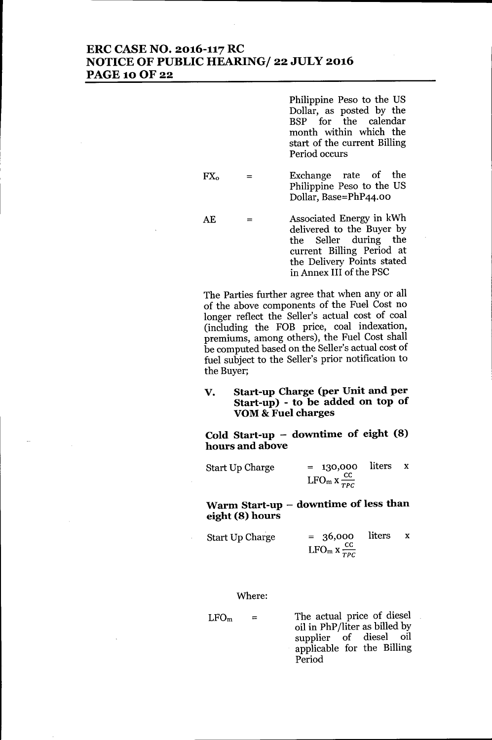### **ERC CASE NO. 2016-117 RC NOTICE OF PUBLIC HEARING/ 22 JULY 2016 PAGE100F22**

Philippine Peso to the US Dollar, as posted by the BSP for the month within which the start of the current Billing Period occurs

FXo = Exchange rate of the Philippine Peso to the US Dollar, Base=PhP44.00

AE = Associated Energy in kWh delivered to the Buyer by the Seller during the current Billing Period at the Delivery Points stated in Annex III of the PSC

The Parties further agree that when any or all of the above components of the Fuel Cost no longer reflect the Seller's actual cost of coal (including the FOB price, coal indexation, premiums, among others), the Fuel Cost shall be computed based on the Seller's actual cost of fuel subject to the Seller's prior notification to the Buyer;

### **V. Start-up Charge (per Unit and per Start-up) - to be added on top of YOM& Fuel charges**

**Cold Start-up - downtime of eight (8) hours and above**

**Warm Start-up - downtime of less than eight (8) hours**

| Start Up Charge | $= 36,000$ liters x                 |  |
|-----------------|-------------------------------------|--|
|                 | LFO <sub>m</sub> x $\frac{CC}{TPC}$ |  |

Where:

 $LFO<sub>m</sub>$  = The actual price of diesel oil in **phP***lliter* as billed by supplier of diesel oil applicable for the Billing Period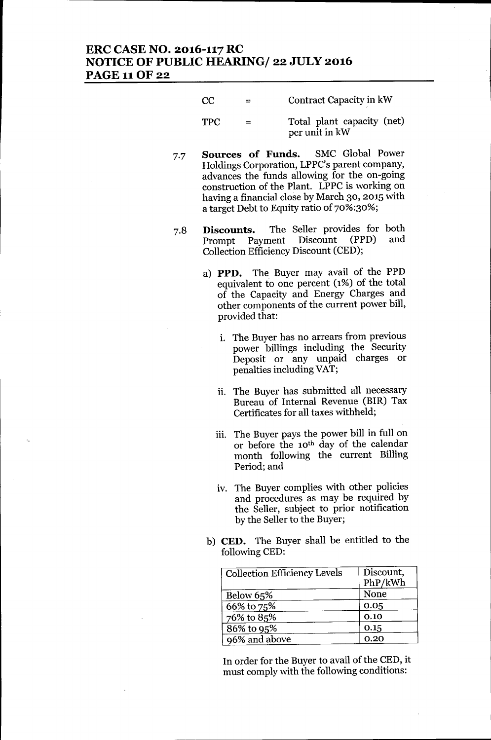# **ERC CASE NO. 2016-117 RC NOTICE OF PUBLIC HEARINGf 22 JULY 2016** PAGE 11OF 22

**CC** = Contract Capacity in kW

TPC = Total plant capacity (net) per unit in kW

- 7.7 **Sources of Funds.** SMC Global Power Holdings Corporation, LPPC's parent company, advances the funds allowing for the on-going construction of the Plant. LPPC is working on having a financial close by March 30, 2015 with a target Debt to Equity ratio of 70%:30%;
- Discounts. The Seller provides for both 7.8 Prompt Payment Discount (PPD) and Collection Efficiency Discount (CED);
	- a) **PPD.** The Buyer may avail of the PPD equivalent to one percent (1%) of the total of the Capacity and Energy Charges and other components of the current power bill, provided that:
		- 1. The Buyer has no arrears from previous power billings including the Security Deposit or any unpaid charges or penalties including VAT;
		- ii. The Buyer has submitted all necessary Bureau of Internal Revenue (BIR) Tax Certificates for all taxes withheld;
		- iii. The Buyer pays the power bill in full on or before the 10th day of the calendar month following the current Billing Period; and
		- iv. The Buyer complies with other policies and procedures as may be required by the Seller, subject to prior notification by the Seller to the Buyer;
	- b) **CED.** The Buyer shall be entitled to the following CED:

| <b>Collection Efficiency Levels</b> | Discount,<br>PhP/kWh |
|-------------------------------------|----------------------|
| Below $65%$                         | None                 |
| 66% to 75%                          | 0.05                 |
| 76% to 85%                          | 0.10                 |
| 86% to 95%                          | 0.15                 |
| 96% and above                       | 0.20                 |

In order for the Buyer to avail of the CED, it must comply with the following conditions: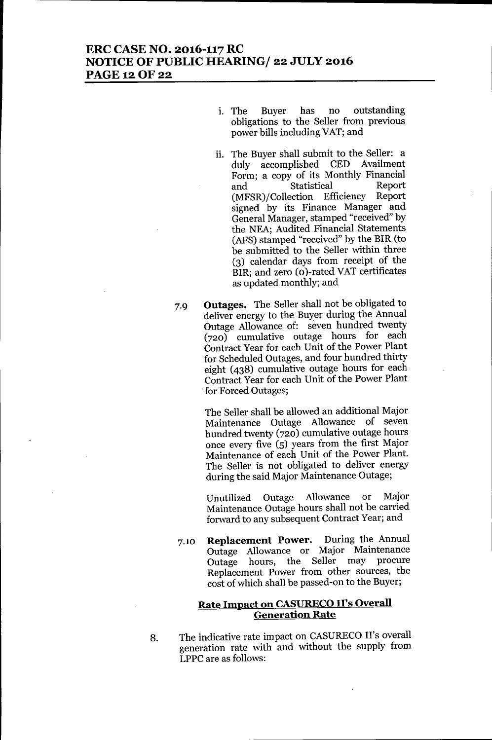- 1. The Buyer has no outstanding obligations to the Seller from previous power bills including VAT; and
- ii. The Buyer shall submit to the Seller: a duly accomplished CED Availment Form; a copy of its Monthly Financial and Statistical Report (MFSR)/Collection Efficiency Report signed by its Finance Manager and General Manager, stamped "received" by the NEA; Audited Financial Statements (AFS) stamped "received" by the BIR (to be submitted to the Seller within three (3) calendar days from receipt of the BIR; and zero (o)-rated VAT certificates as updated monthly; and
- 7.9 **Outages.** The Seller shall not be obligated to deliver energy to the Buyer during the Annual Outage Allowance of: seven hundred twenty (720) cumulative outage hours for each Contract Year for each Unit of the Power Plant for Scheduled Outages, and four hundred thirty eight (438) cumulative outage hours for each Contract Year for each Unit of the Power Plant for Forced Outages;

The Seller shall be allowed an additional Major Maintenance Outage Allowance of seven hundred twenty (720) cumulative outage hours once every five (5) years from the first Major Maintenance of each Unit of the Power Plant. The Seller is not obligated to deliver energy during the said Major Maintenance Outage;

Unutilized Outage Allowance or Major Maintenance Outage hours shall not be carried forward to any subsequent Contract Year; and

7.10 **Replacement Power.** During the Annual Outage Allowance or Major Maintenance Outage hours, the Seller may procure Replacement Power from other sources, the cost of which shall be passed-on to the Buyer;

### **Rate Impact on CASURECOII's Overall Generation Rate**

8. The indicative rate impact on CASURECO II's overall generation rate with and without the supply from LPPC are as follows: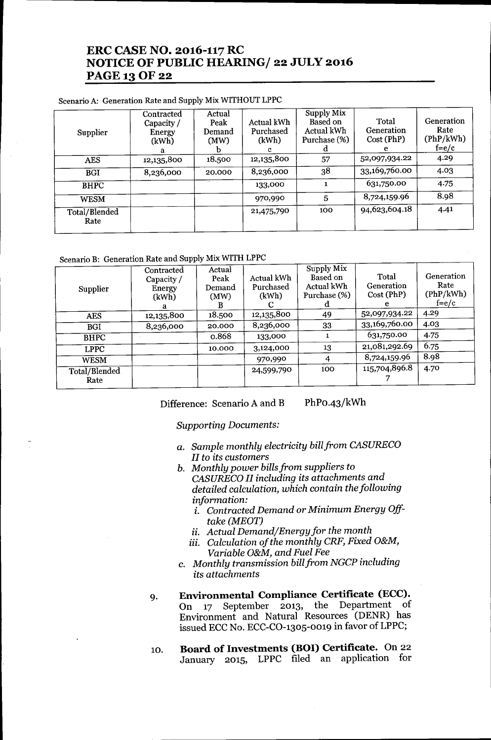# **ERC CASE NO. 2016-117 RC NOTICE OF PUBLIC HEARINGf 22 JULY 2016** PAGE 13 OF 22

### Scenario A: Generation Rate and Supply Mix WITHOUT LPPC

| Supplier              | Contracted<br>Capacity /<br>Energy<br>(kWh)<br>а | Actual<br>Peak<br>Demand<br>(MW) | Actual kWh<br>Purchased<br>(kWh)<br>с | Supply Mix<br>Based on<br>Actual kWh<br>Purchase (%)<br>d | Total<br>Generation<br>Cost (PhP)<br>e. | Generation<br>Rate<br>(PhP/kWh)<br>$f=e/c$ |
|-----------------------|--------------------------------------------------|----------------------------------|---------------------------------------|-----------------------------------------------------------|-----------------------------------------|--------------------------------------------|
| <b>AES</b>            | 12,135,800                                       | 18.500                           | 12,135,800                            | 57                                                        | 52,097,934.22                           | 4.29                                       |
| <b>BGI</b>            | 8,236,000                                        | 20.000                           | 8,236,000                             | 38                                                        | 33,169,760.00                           | 4.03                                       |
| <b>BHPC</b>           |                                                  | $\ddotsc$                        | 133,000                               |                                                           | 631,750.00                              | 4.75                                       |
| <b>WESM</b>           |                                                  |                                  | 970,990                               | 5                                                         | 8,724,159.96                            | 8.98                                       |
| Total/Blended<br>Rate |                                                  |                                  | 21,475,790                            | 100                                                       | 94,623,604.18                           | 4.41                                       |

### Scenario B: Generation Rate and Supply Mix WITH LPPC

| Supplier              | Contracted<br>Capacity /<br>Energy<br>(kWh)<br>я | Actual<br>Peak<br>Demand<br>(MW) | Actual kWh<br>Purchased<br>(kWh) | Supply Mix<br>Based on<br>Actual kWh<br>Purchase (%)<br>d | Total<br>Generation<br>Cost (PhP)<br>е | Generation<br>Rate<br>(PhP/kWh)<br>$f=e/c$ |
|-----------------------|--------------------------------------------------|----------------------------------|----------------------------------|-----------------------------------------------------------|----------------------------------------|--------------------------------------------|
| <b>AES</b>            | 12,135,800                                       | 18.500                           | 12,135,800                       | 49                                                        | 52,097,934.22                          | 4.29                                       |
| <b>BGI</b>            | 8,236,000                                        | 20.000                           | 8,236,000                        | 33                                                        | 33,169,760.00                          | 4.03                                       |
| <b>BHPC</b>           |                                                  | 0.868                            | 133,000                          |                                                           | 631,750.00                             | 4.75                                       |
| <b>LPPC</b>           |                                                  | 10.000                           | 3,124,000                        | 13                                                        | 21,081,292.69                          | 6.75                                       |
| <b>WESM</b>           |                                                  |                                  | 970,990                          | 4                                                         | 8,724,159.96                           | 8.98                                       |
| Total/Blended<br>Rate |                                                  |                                  | 24,599,790                       | 100                                                       | 115,704,896.8                          | 4.70                                       |

Difference: Scenario A and B PhP0-43/kWh

#### *Supporting Documents:*

- a. *Sample monthly electricity billfrom CASURECO II* to *its customers*
- *b. Monthly power billsfrom suppliers* to *CASURECO II including its attachments and detailed calculation, which contain the following information:*
	- *i. Contracted Demand or Minimum Energy Offtake (MEOT)*
	- *ii. Actual Demand/Energy for the month*
	- *iii. Calculation of the monthly CRF, Fixed O&M, Variable O&M, and Fuel Fee*
- c. *Monthly transmission billfrom NGCP including its attachments*
- 9. **Environmental Compliance Certificate (ECC).** On 17 September 2013, the Department of Environment and Natural Resources (DENR) has issued ECC No. ECC-CO-1305-0019 in favor of LPPC;
- 10. **Board of Investments (BOI) Certificate.** On 22 January 2015, LPPC filed an application for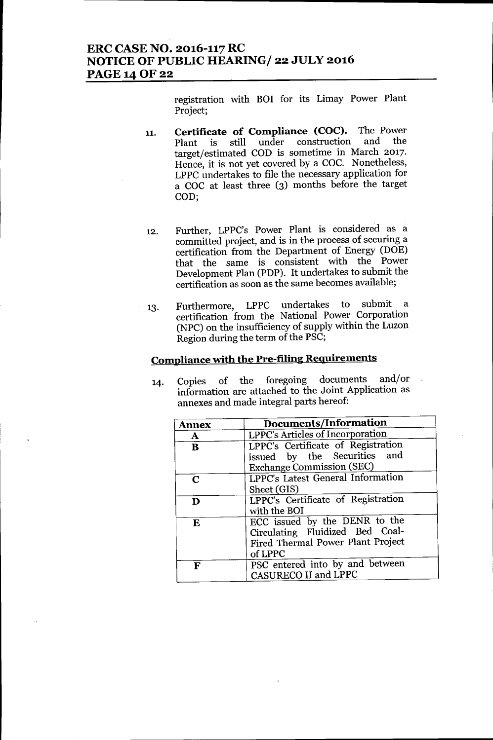# **ERC CASE NO. 2016-117 RC NOTICE OF PUBLIC HEARING/ 22 JULY 2016 PAGE140F22**

registration with BOI for its Limay Power Plant Project;

- 11. **Certificate of Compliance (COC).** The Power Plant is still under target/estimated COD is sometime in March 2017. Hence, it is not yet covered by a COC. Nonetheless, LPPC undertakes to file the necessary application for a COC at least three (3) months before the target COD;
- 12. Further, LPPC's Power Plant is considered as a committed project, and is in the process of securing a certification from the Department of Energy (DOE) that the same is consistent with the Power Development Plan (PDP). It undertakes to submit the certification as soon as the same becomes available;
- 13. Furthermore, LPPC undertakes to submit a certification from the National Power Corporation (NPC) on the insufficiency of supply within the Luzon Region during the term of the PSC;

# **Compliance with the Pre-filing Reguirements**

14. Copies of the foregoing documents and/or information are attached to the Joint Application as annexes and made integral parts hereof:

| <b>Annex</b> | Documents/Information                                                                                            |
|--------------|------------------------------------------------------------------------------------------------------------------|
| $\mathbf{A}$ | LPPC's Articles of Incorporation                                                                                 |
| B            | LPPC's Certificate of Registration<br>issued by the Securities and<br><b>Exchange Commission (SEC)</b>           |
| $\mathbf C$  | <b>LPPC's Latest General Information</b><br>Sheet (GIS)                                                          |
| D            | LPPC's Certificate of Registration<br>with the BOI                                                               |
| ${\bf E}$    | ECC issued by the DENR to the<br>Circulating Fluidized Bed Coal-<br>Fired Thermal Power Plant Project<br>of LPPC |
| F            | PSC entered into by and between<br>CASURECO II and LPPC                                                          |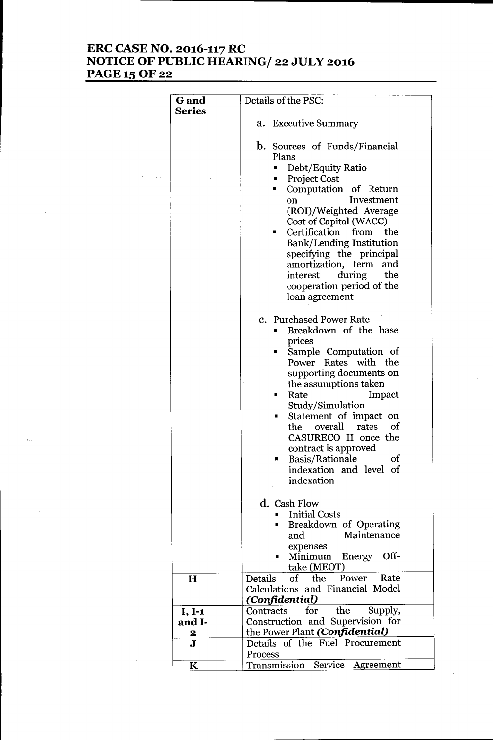# **ERC CASE NO. 2016-117 RC NOTICE OF PUBLIC HEARINGf 22 JULY 2016** PAGE 15 OF 22

| <b>G</b> and            | Details of the PSC:                                                                                                                                                                                                                                                                                                                                                                                         |  |
|-------------------------|-------------------------------------------------------------------------------------------------------------------------------------------------------------------------------------------------------------------------------------------------------------------------------------------------------------------------------------------------------------------------------------------------------------|--|
| <b>Series</b>           |                                                                                                                                                                                                                                                                                                                                                                                                             |  |
|                         | a. Executive Summary                                                                                                                                                                                                                                                                                                                                                                                        |  |
|                         |                                                                                                                                                                                                                                                                                                                                                                                                             |  |
|                         | <b>b.</b> Sources of Funds/Financial<br>Plans<br>Debt/Equity Ratio<br><b>Project Cost</b><br>Computation of Return<br>ш<br>Investment<br>on<br>(ROI)/Weighted Average<br>Cost of Capital (WACC)<br>Certification from the<br><b>Bank/Lending Institution</b><br>specifying the principal<br>amortization, term<br>and<br>during the<br>interest<br>cooperation period of the<br>loan agreement              |  |
|                         | c. Purchased Power Rate<br>Breakdown of the base<br>prices<br>Sample Computation of<br>П<br>Power Rates with the<br>supporting documents on<br>J<br>the assumptions taken<br>Impact<br>Rate<br>٠<br>Study/Simulation<br>Statement of impact on<br>ш<br>of<br>the<br>overall<br>rates<br>CASURECO II once the<br>contract is approved<br>Basis/Rationale<br>of<br>п<br>indexation and level of<br>indexation |  |
|                         | d. Cash Flow<br><b>Initial Costs</b><br>Breakdown of Operating<br>п<br>Maintenance<br>and<br>expenses<br>Off-<br>Minimum<br>Energy                                                                                                                                                                                                                                                                          |  |
|                         | take (MEOT)                                                                                                                                                                                                                                                                                                                                                                                                 |  |
| $\bf H$                 | the<br>Power<br>Details<br>$\circ$ f $\overline{\phantom{a}}$<br>Rate<br>Calculations and Financial Model<br>(Confidential)                                                                                                                                                                                                                                                                                 |  |
| $I, I-1$                | for<br>the<br>Supply,<br>Contracts                                                                                                                                                                                                                                                                                                                                                                          |  |
| and I-                  | Construction and Supervision for                                                                                                                                                                                                                                                                                                                                                                            |  |
| 2                       | the Power Plant (Confidential)                                                                                                                                                                                                                                                                                                                                                                              |  |
| $\overline{\mathbf{J}}$ | Details of the Fuel Procurement                                                                                                                                                                                                                                                                                                                                                                             |  |
|                         | Process                                                                                                                                                                                                                                                                                                                                                                                                     |  |
| $\bf K$                 | Transmission<br>Service<br>Agreement                                                                                                                                                                                                                                                                                                                                                                        |  |
|                         |                                                                                                                                                                                                                                                                                                                                                                                                             |  |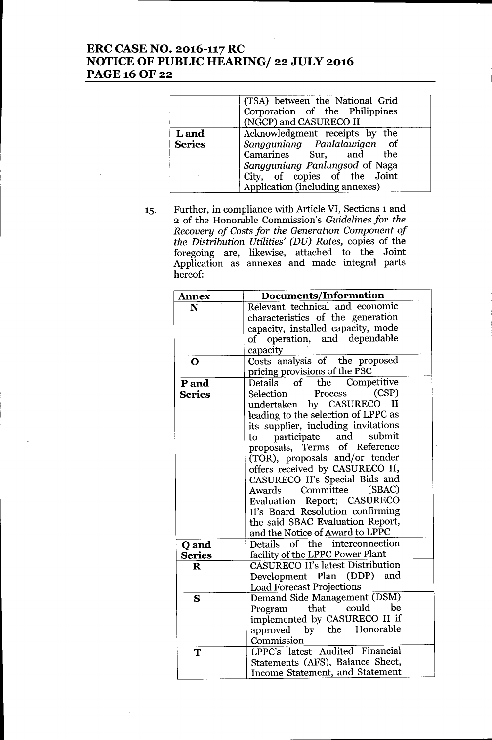# **ERC CASE NO. 2016-117 RC NOTICE OF PUBLIC HEARING/ 22 JULY 2016** PAGE 16 OF 22

|               | (TSA) between the National Grid<br>Corporation of the Philippines<br>(NGCP) and CASURECO II |
|---------------|---------------------------------------------------------------------------------------------|
| L and         | Acknowledgment receipts by the                                                              |
| <b>Series</b> | Sangguniang Panlalawigan of                                                                 |
|               | Camarines Sur, and the                                                                      |
|               | Sangguniang Panlungsod of Naga                                                              |
| $\sim$        | City, of copies of the Joint                                                                |
|               | Application (including annexes)                                                             |

15. Further, in compliance with Article VI, Sections 1 and 2 of the Honorable Commission's *Guidelines for the Recovery of Costs for the Generation Component of the Distribution Utilities' (DU) Rates,* copies of the foregoing are, likewise, attached to the Join Application as annexes and made integral parts hereof:

| <b>Annex</b>  | Documents/Information                    |
|---------------|------------------------------------------|
| N             | Relevant technical and economic          |
|               | characteristics of the generation        |
|               | capacity, installed capacity, mode       |
|               | of operation, and dependable             |
|               | capacity                                 |
| O             | Costs analysis of the proposed           |
|               | pricing provisions of the PSC            |
| P and         | of the<br>Competitive<br>Details         |
| <b>Series</b> | (CSP)<br>Process<br>Selection            |
|               | undertaken by CASURECO<br>$\mathbf{I}$   |
|               | leading to the selection of LPPC as      |
|               | its supplier, including invitations      |
|               | submit<br>and<br>participate<br>to       |
|               | proposals, Terms of Reference            |
|               | (TOR), proposals and/or tender           |
|               | offers received by CASURECO II,          |
|               | CASURECO II's Special Bids and           |
|               | (SBAC)<br>Awards Committee               |
|               | Evaluation Report; CASURECO              |
|               | II's Board Resolution confirming         |
|               | the said SBAC Evaluation Report,         |
|               | and the Notice of Award to LPPC          |
| Q and         | Details of the interconnection           |
| <b>Series</b> | facility of the LPPC Power Plant         |
| $\bf R$       | <b>CASURECO II's latest Distribution</b> |
|               | Development Plan (DDP)<br>and            |
|               | <b>Load Forecast Projections</b>         |
| S             | Demand Side Management (DSM)             |
|               | be<br>could<br>that<br>Program           |
|               | implemented by CASURECO II if            |
|               | by the Honorable<br>approved             |
|               | Commission                               |
| T             | LPPC's latest Audited Financial          |
|               | Statements (AFS), Balance Sheet,         |
|               | Income Statement, and Statement          |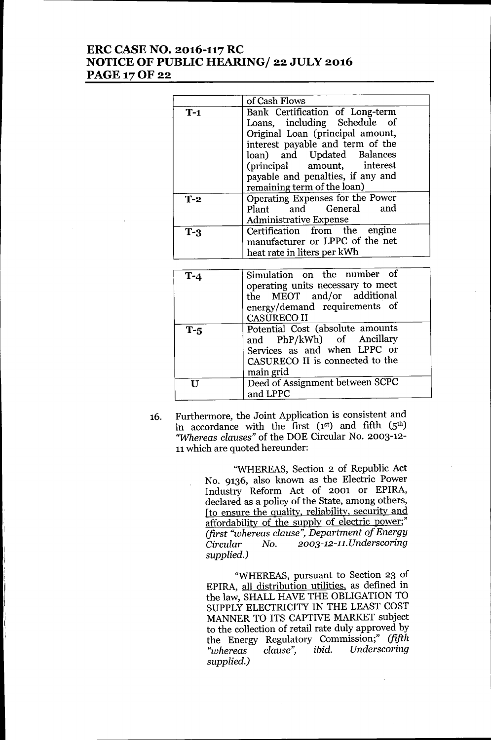## **ERC CASE NO. 2016-117 RC NOTICE OF PUBLIC HEARING/ 22 JULY 2016** PAGE 17 OF 22

|             | of Cash Flows                                                                                                                                                                                                                                                            |
|-------------|--------------------------------------------------------------------------------------------------------------------------------------------------------------------------------------------------------------------------------------------------------------------------|
| $T-1$       | Bank Certification of Long-term<br>Loans, including Schedule of<br>Original Loan (principal amount,<br>interest payable and term of the<br>loan) and Updated Balances<br>(principal amount, interest<br>payable and penalties, if any and<br>remaining term of the loan) |
| $T-2$       | Operating Expenses for the Power<br>and General<br>and<br>Plant<br><b>Administrative Expense</b>                                                                                                                                                                         |
| $T-3$       | Certification from the engine<br>manufacturer or LPPC of the net<br>heat rate in liters per kWh                                                                                                                                                                          |
| $T-4$       | Simulation on the number of<br>operating units necessary to meet<br>MEOT and/or additional<br>the<br>energy/demand requirements of<br><b>CASURECO II</b>                                                                                                                 |
| $T-5$       | Potential Cost (absolute amounts<br>and PhP/kWh) of Ancillary<br>Services as and when LPPC or<br>CASURECO II is connected to the<br>main grid                                                                                                                            |
| $\mathbf U$ | Deed of Assignment between SCPC<br>and LPPC                                                                                                                                                                                                                              |

16. Furthermore, the Joint Application is consistent and in accordance with the first  $(1^{st})$  and fifth  $(5^{th})$ *"Whereas clauses"* of the DOE Circular No. 2003-12- 11which are quoted hereunder:

> "WHEREAS, Section 2 of Republic Act No. 9136, also known as the Electric Power Industry Reform Act of 2001 or EPIRA, declared as a policy of the State, among others, [to ensure the quality, reliability, security and affordability of the supply of electric power;" *(first "whereas clause", Department of Energy Circular No. 2003-12-11. Underscoring supplied.)*

"WHEREAS, pursuant to Section 23 of EPIRA, all distribution utilities, as defined in the law, SHALL HAVE THE OBLIGATION TO SUPPLY ELECTRICITY IN THE LEAST COST MANNER TO ITS CAPTIVE MARKET subject to the collection of retail rate duly approved by the Energy Regulatory Commission;" *(fifth "whereas clause", ibid. Underscoring supplied.)*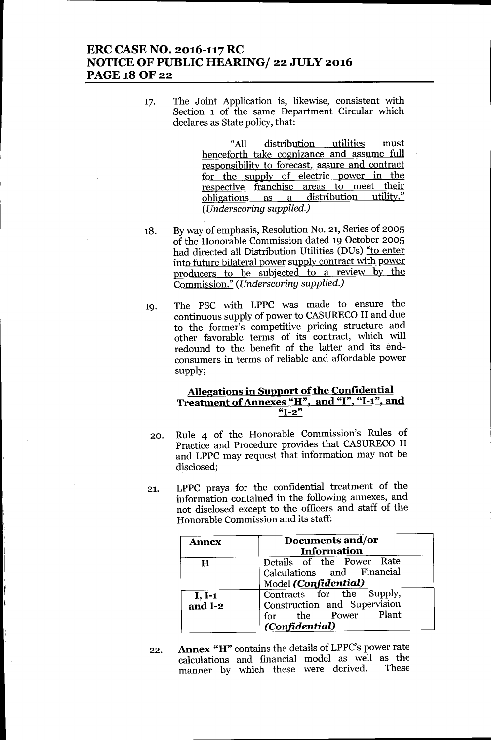# ERC CASE NO. 2016-117 RC NOTICE OF PUBLIC HEARING/ 22 JULY 2016 PAGE 18 OF 22

17. The Joint Application is, likewise, consistent with Section 1 of the same Department Circular which declares as State policy, that:

> "All distribution utilities must henceforth take cognizance and assume full responsibility to forecast, assure and contract for the supply of electric power in the respective franchise areas to meet their obligations as a distribution utility." *(Underscoring supplied.)*

- 18. Byway of emphasis, Resolution No. 21, Series of 2005 of the Honorable Commission dated 19 October 2005 had directed all Distribution Utilities (DUs) "to enter into future bilateral power supply contract with power producers to be subjected to a review by the Commission." *(Underscoring supplied.)*
- 19. The PSC with LPPC was made to ensure the continuous supply of power to CASURECO II and due to the former's competitive pricing structure and other favorable terms of its contract, which will redound to the benefit of the latter and its endconsumers in terms of reliable and affordable power supply;

#### Allegations in Support of the Confidential Treatment of Annexes "H", and "I", "1-1", and  $"I-2"$

- 20. Rule 4 of the Honorable Commission's Rules of Practice and Procedure provides that CASURECO II and LPPC may request that information may not be disclosed;
- 21. LPPC prays for the confidential treatment of the information contained in the following annexes, and not disclosed except to the officers and staff of the Honorable Commission and its staff:

| Annex               | Documents and/or<br>Information                                                                    |
|---------------------|----------------------------------------------------------------------------------------------------|
| H                   | Details of the Power Rate<br>Calculations and Financial<br>Model (Confidential)                    |
| $I, I-1$<br>and I-2 | Contracts for the Supply,<br>Construction and Supervision<br>for the Power Plant<br>(Confidential) |

22. Annex "H" contains the details of LPPC's power rate calculations and financial model as well as the<br>manner by which these were derived. These manner by which these were derived.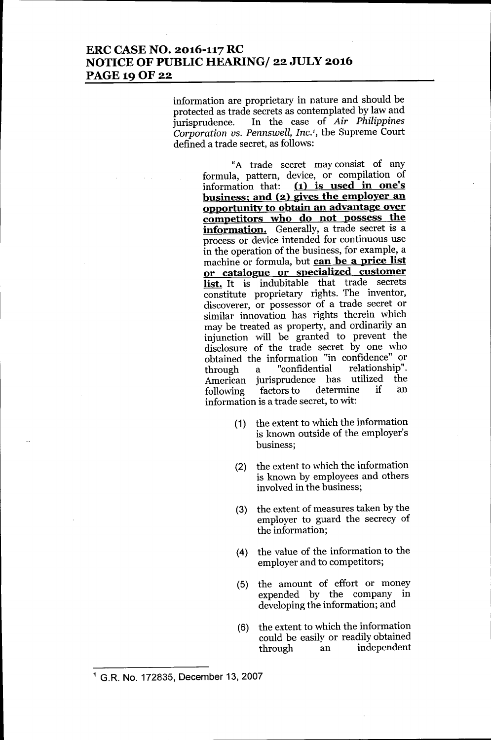# ERC CASE NO. 2016-117 RC NOTICE OF PUBLIC HEARING/ 22 JULY 2016 PAGE 19 OF 22

information are proprietary in nature and should be protected as trade secrets as contemplated by law and<br>jurisprudence. In the case of Air Philippines In the case of *Air Philippines Corporation us. Pennswell, Inc.<sup>1</sup> ,* the Supreme Court defined a trade secret, as follows:

> "A trade secret may consist of any formula, pattern, device, or compilation of information that: (1) is used in one's business; and (2) gives the employer an opportunity to obtain an advantage over competitors who do not possess the information. Generally, a trade secret is a process or device intended for continuous use in the operation of the business, for example, a machine or formula, but can be a price list or catalogue. or specialized customer list. It is indubitable that trade secrets constitute proprietary rights. The inventor, discoverer, or possessor of a trade secret or similar innovation has rights therein which may be treated as property, and ordinarily an injunction will be granted to prevent the disclosure of the trade secret by one who obtained the information "in confidence" or<br>through a "confidential relationship". through a "confidential relationship". American jurisprudence has utilized the<br>following factors.to determine if an following factors to determine information is a trade secret, to wit:

- (1) the extent to which the information is known outside of the employer's business;
- (2) the extent to which the information is known by employees and others involved in the business;
- (3) the extent of measures taken by the employer to guard the secrecy of the information;
- (4) the value of the information to the employer and to competitors;
- (5) the amount of effort or money expended by the company in developing the information; and
- (6) the extent to which the information could be easily or readily obtained through an independent

<sup>1</sup> G.R. No. 172835, December 13, 2007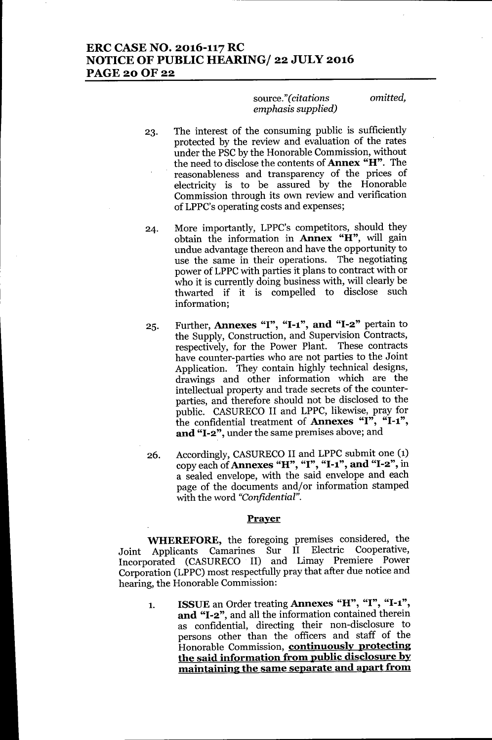# ERC CASE NO. 2016-117 RC NOTICE OF PUBLIC HEARING/ 22 JULY 2016 **PAGE 20 OF 22**

#### source." *(citations emphasis supplied)*

*omitted,*

- 23. The interest of the consuming public is sufficiently protected by the review and evaluation of the rates under the PSC by the Honorable Commission, without the need to disclose the contents of Annex "H". The reasonableness and transparency of the prices of electricity is to be assured by the Honorable Commission through its own review and verification of LPPC's operating costs and expenses;
- 24. More importantly, LPPC's competitors, should they obtain the information in Annex "H", will gain undue advantage thereon and have the opportunity to use the same in their operations. The negotiating power of LPPC with parties it plans to contract with or who it is currently doing business with, will clearly be thwarted if it is compelled to disclose such information;
- 25. Further, Annexes "I", "I-1", and "I-2" pertain to the Supply, Construction, and Supervision Contracts, respectively, for the Power Plant. These contracts have counter-parties who are not parties to the Joint Application. They contain highly technical designs, drawings and other information which are the intellectual property and trade secrets of the counterparties, and therefore should not be disclosed to the public. CASURECO II and LPPC, likewise, pray for the confidential treatment of Annexes " $I$ ", " $I$ -1", and "1-2", under the same premises above; and
- 26. Accordingly, CASURECO II and LPPC submit one (1) copy each of Annexes "H", "I", "I-1", and "I-2", in a sealed envelope, with the said envelope and each page of the documents and/or information stamped with the word *"Confidential".*

#### Prayer

WHEREFORE, the foregoing premises considered, the Joint Applicants Camarines Sur II Electric Cooperative, Incorporated (CASURECO II) and Limay Premiere Power Corporation (LPPC) most respectfully pray that after due notice and hearing, the Honorable Commission:

1. ISSUE an Order treating Annexes "H", "I", "1-1", and "1-2", and all the information contained therein as confidential, directing their non-disclosure to persons other than the officers and staff of the Honorable Commission, continuously protecting the said information from public disclosure by maintaining the same separate and apart from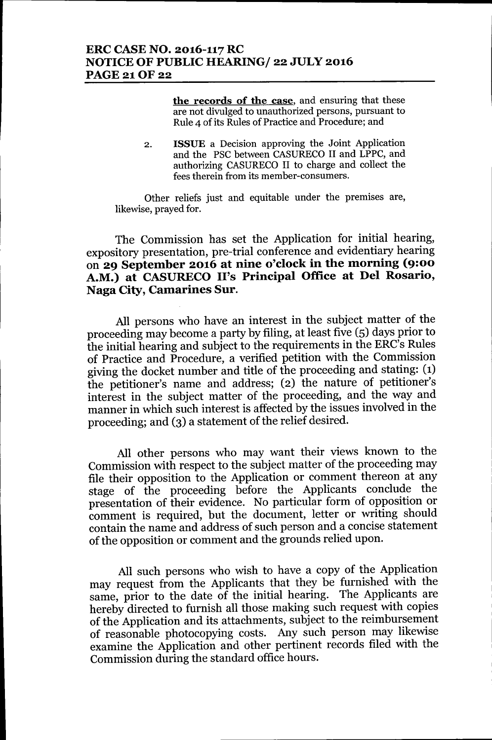the records of the case, and ensuring that these are not divulged to unauthorized persons, pursuant to Rule 4 of its Rules of Practice and Procedure; and

2. ISSUE a Decision approving the Joint Application and the PSC between CASURECO II and LPPC, and authorizing CASURECO II to charge and collect the fees therein from its member-consumers.

Other reliefs just and equitable under the premises are, likewise, prayed for.

The Commission has set the Application for initial hearing, expository presentation, pre-trial conference and evidentiary hearing on 29 September 2016 at nine o'clock in the morning (9:00 A.M.) at CASURECO II's Principal Office at Del Rosario, Naga City, Camarines Sur.

All persons who have an interest in the subject matter of the proceeding may become a party by filing, at least five (5) days prior to the initial hearing and subject to the requirements in the ERC's Rules of Practice and Procedure, a verified petition with the Commission giving the docket number and title of the proceeding and stating: (1) the petitioner's name and address; (2) the nature of petitioner's interest in the subject matter of the proceeding, and the way and manner in which such interest is affected by the issues involved in the proceeding; and (3) a statement of the relief desired.

All other persons who may want their views known to the Commission with respect to the subject matter of the proceeding may file their opposition to the Application or comment thereon at any stage of the proceeding before the Applicants conclude the presentation of their evidence. No particular form of opposition or comment is required, but the document, letter or writing should contain the name and address of such person and a concise statement of the opposition or comment and the grounds relied upon.

All such persons who wish to have a copy of the Application may request from the Applicants that they be furnished with the same, prior to the date of the initial hearing. The Applicants are hereby directed to furnish all those making such request with copies of the Application and its attachments, subject to the reimbursement of reasonable photocopying costs. Any such person may likewise examine the Application and other pertinent records filed with the Commission during the standard office hours.